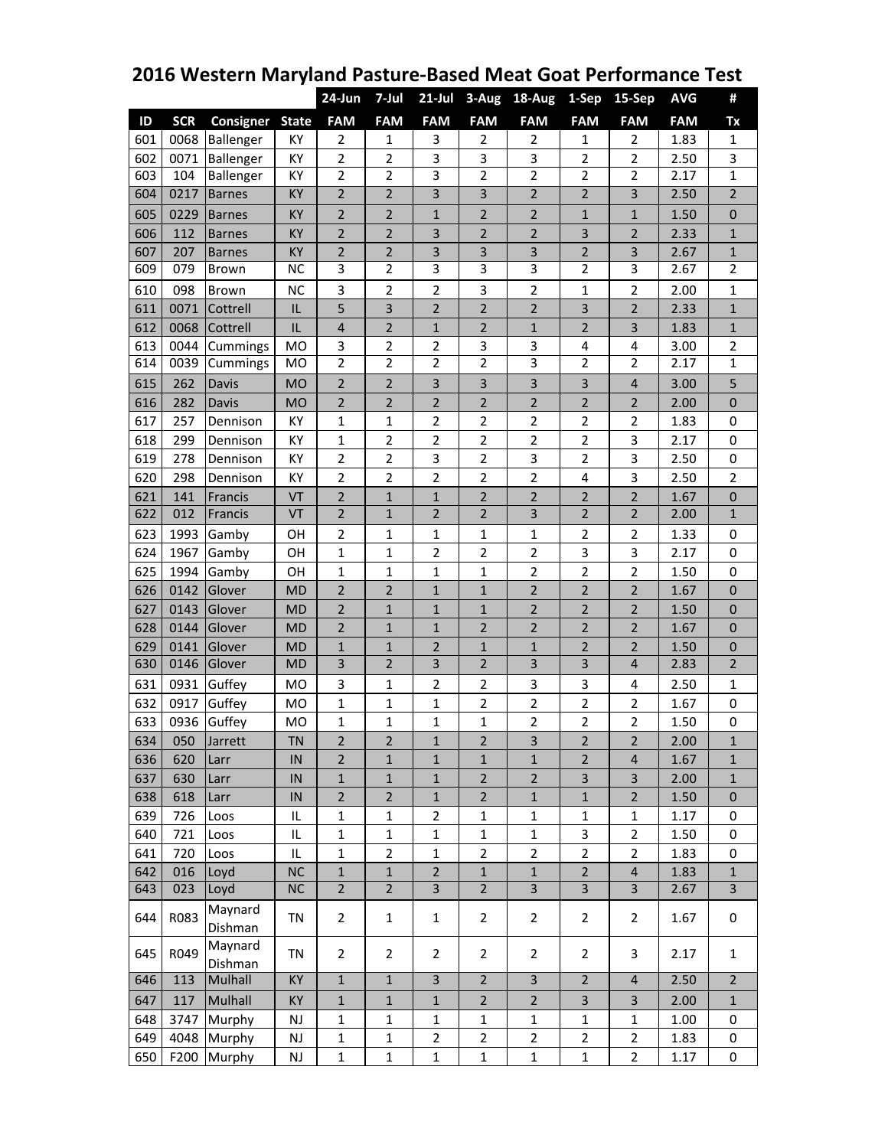|     |            |                    |               | $24$ -Jun               | 7-Jul                   | $21$ -Jul               | 3-Aug          | 18-Aug                  | 1-Sep                   | 15-Sep                  | <b>AVG</b> | #              |
|-----|------------|--------------------|---------------|-------------------------|-------------------------|-------------------------|----------------|-------------------------|-------------------------|-------------------------|------------|----------------|
| ID  | <b>SCR</b> | Consigner          | <b>State</b>  | <b>FAM</b>              | <b>FAM</b>              | <b>FAM</b>              | <b>FAM</b>     | <b>FAM</b>              | <b>FAM</b>              | <b>FAM</b>              | <b>FAM</b> | Tx             |
| 601 | 0068       | Ballenger          | KY            | $\overline{2}$          | 1                       | 3                       | $\overline{2}$ | $\overline{2}$          | 1                       | $\overline{2}$          | 1.83       | $\mathbf{1}$   |
| 602 | 0071       | Ballenger          | KY            | $\overline{2}$          | $\overline{2}$          | 3                       | 3              | 3                       | $\overline{2}$          | $\overline{2}$          | 2.50       | 3              |
| 603 | 104        | <b>Ballenger</b>   | KY            | $\overline{2}$          | $\overline{2}$          | 3                       | 2              | $\overline{2}$          | 2                       | 2                       | 2.17       | $\mathbf{1}$   |
| 604 | 0217       | <b>Barnes</b>      | KY            | $\overline{2}$          | $\overline{2}$          | $\overline{3}$          | 3              | $\overline{2}$          | $\overline{2}$          | 3                       | 2.50       | $\overline{2}$ |
| 605 | 0229       | <b>Barnes</b>      | KY            | $\overline{2}$          | $\overline{2}$          | $\mathbf 1$             | 2              | $\overline{2}$          | $\mathbf{1}$            | $\mathbf{1}$            | 1.50       | $\pmb{0}$      |
| 606 | 112        | <b>Barnes</b>      | KY            | $\overline{2}$          | $\overline{2}$          | $\overline{\mathbf{3}}$ | $\overline{c}$ | $\overline{2}$          | 3                       | $\overline{2}$          | 2.33       | $\mathbf{1}$   |
| 607 | 207        | <b>Barnes</b>      | KY            | $\overline{2}$          | $\overline{2}$          | $\mathsf 3$             | 3              | $\mathsf 3$             | $\overline{2}$          | 3                       | 2.67       | $\mathbf 1$    |
| 609 | 079        | Brown              | <b>NC</b>     | 3                       | $\overline{2}$          | 3                       | 3              | 3                       | $\overline{2}$          | 3                       | 2.67       | $\overline{2}$ |
| 610 | 098        | Brown              | <b>NC</b>     | 3                       | $\overline{2}$          | $\overline{2}$          | 3              | $\overline{2}$          | 1                       | $\overline{2}$          | 2.00       | $\mathbf{1}$   |
| 611 | 0071       | Cottrell           | IL            | 5                       | $\overline{\mathbf{3}}$ | $\overline{2}$          | $\overline{2}$ | $\overline{2}$          | 3                       | $\overline{2}$          | 2.33       | $\mathbf{1}$   |
| 612 | 0068       | Cottrell           | IL            | $\overline{\mathbf{4}}$ | $\overline{2}$          | $\mathbf{1}$            | $\overline{c}$ | $\mathbf{1}$            | $\overline{2}$          | 3                       | 1.83       | $\mathbf 1$    |
| 613 | 0044       | Cummings           | <b>MO</b>     | 3                       | $\overline{2}$          | $\overline{2}$          | 3              | 3                       | 4                       | 4                       | 3.00       | $\overline{2}$ |
| 614 | 0039       | Cummings           | <b>MO</b>     | $\overline{2}$          | $\overline{2}$          | $\overline{2}$          | $\overline{2}$ | $\overline{3}$          | $\overline{2}$          | $\overline{2}$          | 2.17       | $\mathbf{1}$   |
| 615 | 262        | Davis              | <b>MO</b>     | $\overline{2}$          | $\overline{2}$          | 3                       | 3              | 3                       | 3                       | $\overline{\mathbf{r}}$ | 3.00       | 5              |
| 616 | 282        | Davis              | <b>MO</b>     | $\overline{2}$          | $\overline{2}$          | $\overline{2}$          | $\overline{2}$ | 2                       | 2                       | $\overline{2}$          | 2.00       | $\pmb{0}$      |
| 617 | 257        | Dennison           | KY            | $\mathbf 1$             | 1                       | $\overline{2}$          | 2              | $\overline{2}$          | $\overline{2}$          | $\overline{2}$          | 1.83       | $\mathbf 0$    |
| 618 | 299        | Dennison           | KY            | $\mathbf 1$             | $\overline{2}$          | $\mathbf 2$             | 2              | $\overline{2}$          | $\overline{2}$          | 3                       | 2.17       | 0              |
| 619 | 278        | Dennison           | KY            | $\overline{2}$          | $\mathbf 2$             | 3                       | 2              | 3                       | $\overline{2}$          | 3                       | 2.50       | 0              |
| 620 | 298        | Dennison           | KY            | $\overline{2}$          | $\overline{2}$          | $\overline{2}$          | $\overline{2}$ | $\overline{2}$          | $\overline{\mathbf{4}}$ | 3                       | 2.50       | $\overline{2}$ |
| 621 | 141        | Francis            | VT            | $\overline{2}$          | $1\,$                   | $1\,$                   | $\overline{2}$ | $\overline{2}$          | $\overline{2}$          | $\overline{2}$          | 1.67       | $\pmb{0}$      |
| 622 | 012        | Francis            | VT            | $\overline{2}$          | $\mathbf{1}$            | $\overline{2}$          | $\overline{2}$ | $\overline{3}$          | $\overline{2}$          | $\overline{2}$          | 2.00       | $\overline{1}$ |
| 623 | 1993       | Gamby              | OH            | $\overline{2}$          | 1                       | 1                       | 1              | 1                       | $\overline{2}$          | $\overline{2}$          | 1.33       | $\mathbf 0$    |
| 624 | 1967       | Gamby              | OH            | $\mathbf 1$             | $\mathbf 1$             | $\overline{2}$          | $\overline{2}$ | $\overline{2}$          | 3                       | 3                       | 2.17       | 0              |
| 625 | 1994       | Gamby              | OH            | $\mathbf 1$             | $\mathbf{1}$            | $\mathbf 1$             | $\mathbf{1}$   | $\overline{2}$          | $\overline{2}$          | $\overline{2}$          | 1.50       | 0              |
| 626 | 0142       | Glover             | <b>MD</b>     | 2                       | $\overline{2}$          | $\mathbf{1}$            | $\mathbf 1$    | $\overline{2}$          | $\overline{2}$          | $\overline{2}$          | 1.67       | $\mathbf{0}$   |
| 627 | 0143       | Glover             | <b>MD</b>     | $\overline{2}$          | $\mathbf{1}$            | $\mathbf{1}$            | $\mathbf{1}$   | 2                       | 2                       | $\overline{2}$          | 1.50       | $\mathbf 0$    |
| 628 | 0144       | Glover             | <b>MD</b>     | $\overline{2}$          | $1\,$                   | $1\,$                   | $\overline{2}$ | $\overline{2}$          | $\overline{2}$          | $\overline{2}$          | 1.67       | $\pmb{0}$      |
| 629 | 0141       | Glover             | <b>MD</b>     | $\mathbf 1$             | $\mathbf 1$             | $\overline{2}$          | $\mathbf{1}$   | $\mathbf{1}$            | 2                       | $\overline{2}$          | 1.50       | $\pmb{0}$      |
| 630 | 0146       | Glover             | <b>MD</b>     | 3                       | $\overline{2}$          | $\overline{\mathbf{3}}$ | 2              | 3                       | 3                       | $\overline{4}$          | 2.83       | $\overline{2}$ |
| 631 | 0931       | Guffey             | MO            | 3                       | $\mathbf{1}$            | $\overline{2}$          | 2              | 3                       | 3                       | 4                       | 2.50       | $\mathbf{1}$   |
| 632 | 0917       | Guffey             | <b>MO</b>     | $\mathbf{1}$            | 1                       | 1                       | 2              | $\overline{2}$          | $\overline{2}$          | $\overline{2}$          | 1.67       | 0              |
| 633 | 0936       | Guffey             | <b>MO</b>     | 1                       | $\mathbf{1}$            | 1                       | 1              | $\overline{2}$          | $\overline{2}$          | $\overline{2}$          | 1.50       | 0              |
| 634 | 050        | Jarrett            | <b>TN</b>     | $\overline{c}$          | $\overline{2}$          | $\mathbf 1$             | $\overline{c}$ | $\overline{\mathbf{3}}$ | $\overline{2}$          | $\overline{2}$          | 2.00       | $\mathbf 1$    |
| 636 | 620        | Larr               | IN            | $\overline{2}$          | $\mathbf{1}$            | $\mathbf{1}$            | $\mathbf{1}$   | $\mathbf{1}$            | $\overline{2}$          | $\overline{4}$          | 1.67       | $\mathbf{1}$   |
| 637 | 630        | Larr               | IN            | $\mathbf{1}$            | $\mathbf{1}$            | $\mathbf{1}$            | $\overline{2}$ | $\overline{2}$          | 3                       | 3                       | 2.00       | $\mathbf{1}$   |
| 638 | 618        | Larr               | IN            | $\mathbf 2$             | $\overline{2}$          | $\mathbf{1}$            | $\overline{2}$ | $\mathbf{1}$            | $\mathbf{1}$            | $\overline{2}$          | 1.50       | $\pmb{0}$      |
| 639 | 726        | Loos               | IL            | $\mathbf 1$             | $\mathbf{1}$            | 2                       | 1              | 1                       | 1                       | 1                       | 1.17       | 0              |
| 640 | 721        | Loos               | IL            | $\mathbf{1}$            | $\mathbf{1}$            | $\mathbf{1}$            | $\mathbf 1$    | $\mathbf{1}$            | 3                       | $\overline{c}$          | 1.50       | 0              |
| 641 | 720        | Loos               | IL            | $\mathbf{1}$            | $\overline{2}$          | $\mathbf{1}$            | $\overline{2}$ | $\overline{2}$          | $\overline{2}$          | $\overline{c}$          | 1.83       | 0              |
| 642 | 016        | Loyd               | <b>NC</b>     | $\mathbf{1}$            | $\mathbf{1}$            | $\overline{2}$          | $\mathbf 1$    | $\mathbf{1}$            | $\overline{2}$          | $\overline{\mathbf{4}}$ | 1.83       | $\mathbf{1}$   |
| 643 | 023        | Loyd               | <b>NC</b>     | $\overline{2}$          | $\overline{2}$          | $\overline{3}$          | $\overline{2}$ | $\overline{3}$          | $\overline{3}$          | $\overline{3}$          | 2.67       | $\overline{3}$ |
| 644 | R083       | Maynard<br>Dishman | TN            | $\overline{2}$          | $\mathbf{1}$            | $\mathbf{1}$            | $\overline{2}$ | $\overline{2}$          | $\overline{2}$          | $\overline{2}$          | 1.67       | 0              |
| 645 | R049       | Maynard<br>Dishman | TN            | $\overline{2}$          | $\overline{2}$          | $\overline{2}$          | $\overline{2}$ | $\overline{2}$          | $\overline{2}$          | 3                       | 2.17       | $\mathbf{1}$   |
| 646 | 113        | Mulhall            | KY            | $\mathbf 1$             | $\mathbf 1$             | $\overline{3}$          | $\overline{2}$ | $\overline{3}$          | $\overline{2}$          | $\overline{\mathbf{4}}$ | 2.50       | $\overline{2}$ |
| 647 | 117        | Mulhall            | KY            | $\mathbf 1$             | $\mathbf{1}$            | $\mathbf{1}$            | $\overline{2}$ | $\overline{2}$          | $\mathbf{3}$            | $\mathbf{3}$            | 2.00       | $\mathbf{1}$   |
| 648 | 3747       | Murphy             | $\mathsf{NJ}$ | $\mathbf 1$             | $\mathbf 1$             | $1\,$                   | $\mathbf 1$    | $\mathbf 1$             | $\mathbf 1$             | $\mathbf{1}$            | 1.00       | 0              |
| 649 | 4048       | Murphy             | $\mathsf{NJ}$ | $\mathbf{1}$            | $\mathbf{1}$            | $\overline{2}$          | $\overline{2}$ | $\overline{2}$          | $\overline{2}$          | $\overline{2}$          | 1.83       | 0              |
| 650 | F200       | Murphy             | NJ            | $\mathbf 1$             | $\mathbf{1}$            | $\mathbf 1$             | $\mathbf 1$    | $\mathbf 1$             | $\mathbf{1}$            | $\overline{2}$          | 1.17       | 0              |

## **2016 Western Maryland Pasture-Based Meat Goat Performance Test**